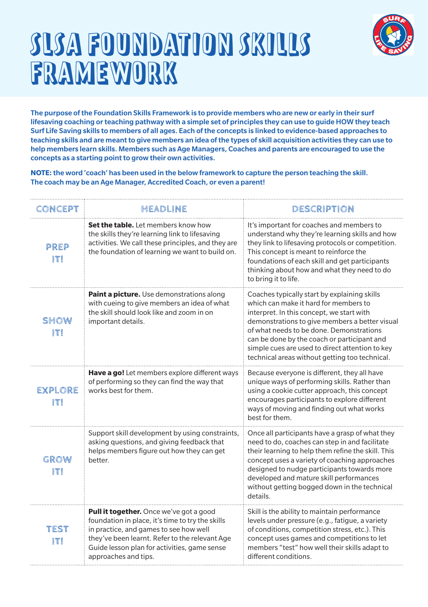

#### SLSA FOUNDATION SKILLS FRAMEWORK

The purpose of the Foundation Skills Framework is to provide members who are new or early in their surf lifesaving coaching or teaching pathway with a simple set of principles they can use to guide HOW they teach Surf Life Saving skills to members of all ages. Each of the concepts is linked to evidence-based approaches to teaching skills and are meant to give members an idea of the types of skill acquisition activities they can use to help members learn skills. Members such as Age Managers, Coaches and parents are encouraged to use the concepts as a starting point to grow their own activities.

**NOTE:** the word 'coach' has been used in the below framework to capture the person teaching the skill. The coach may be an Age Manager, Accredited Coach, or even a parent!

| CONCEPT        | <b>HEADLINE</b>                                                                                                                                                                                                                                                 | DESCRIPTION                                                                                                                                                                                                                                                                                                                                                                          |
|----------------|-----------------------------------------------------------------------------------------------------------------------------------------------------------------------------------------------------------------------------------------------------------------|--------------------------------------------------------------------------------------------------------------------------------------------------------------------------------------------------------------------------------------------------------------------------------------------------------------------------------------------------------------------------------------|
| PREP<br>ITI    | Set the table. Let members know how<br>the skills they're learning link to lifesaving<br>activities. We call these principles, and they are<br>the foundation of learning we want to build on.                                                                  | It's important for coaches and members to<br>understand why they're learning skills and how<br>they link to lifesaving protocols or competition.<br>This concept is meant to reinforce the<br>foundations of each skill and get participants<br>thinking about how and what they need to do<br>to bring it to life.                                                                  |
| SHOW<br>ITI    | Paint a picture. Use demonstrations along<br>with cueing to give members an idea of what<br>the skill should look like and zoom in on<br>important details.                                                                                                     | Coaches typically start by explaining skills<br>which can make it hard for members to<br>interpret. In this concept, we start with<br>demonstrations to give members a better visual<br>of what needs to be done. Demonstrations<br>can be done by the coach or participant and<br>simple cues are used to direct attention to key<br>technical areas without getting too technical. |
| EXPLORE<br>ITI | Have a go! Let members explore different ways<br>of performing so they can find the way that<br>works best for them.                                                                                                                                            | Because everyone is different, they all have<br>unique ways of performing skills. Rather than<br>using a cookie cutter approach, this concept<br>encourages participants to explore different<br>ways of moving and finding out what works<br>best for them.                                                                                                                         |
| GROW<br>IT!    | Support skill development by using constraints,<br>asking questions, and giving feedback that<br>helps members figure out how they can get<br>better.                                                                                                           | Once all participants have a grasp of what they<br>need to do, coaches can step in and facilitate<br>their learning to help them refine the skill. This<br>concept uses a variety of coaching approaches<br>designed to nudge participants towards more<br>developed and mature skill performances<br>without getting bogged down in the technical<br>details.                       |
| TEST<br>IT!    | Pull it together. Once we've got a good<br>foundation in place, it's time to try the skills<br>in practice, and games to see how well<br>they've been learnt. Refer to the relevant Age<br>Guide lesson plan for activities, game sense<br>approaches and tips. | Skill is the ability to maintain performance<br>levels under pressure (e.g., fatigue, a variety<br>of conditions, competition stress, etc.). This<br>concept uses games and competitions to let<br>members "test" how well their skills adapt to<br>different conditions.                                                                                                            |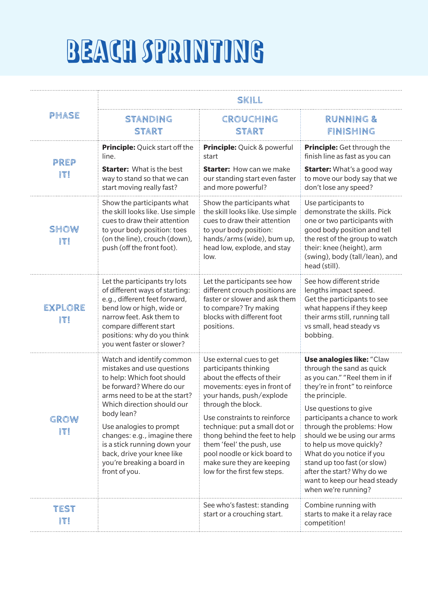## BEACH SPRINTING

|                       | SKILL                                                                                                                                                                                                                                                                                                                                                                  |                                                                                                                                                                                                                                                                                                                                                                                               |                                                                                                                                                                                                                                                                                                                                                                                                                                                       |  |
|-----------------------|------------------------------------------------------------------------------------------------------------------------------------------------------------------------------------------------------------------------------------------------------------------------------------------------------------------------------------------------------------------------|-----------------------------------------------------------------------------------------------------------------------------------------------------------------------------------------------------------------------------------------------------------------------------------------------------------------------------------------------------------------------------------------------|-------------------------------------------------------------------------------------------------------------------------------------------------------------------------------------------------------------------------------------------------------------------------------------------------------------------------------------------------------------------------------------------------------------------------------------------------------|--|
| PHASE                 | <b>STANDING</b><br><b>START</b>                                                                                                                                                                                                                                                                                                                                        | CROUCHING<br><b>START</b>                                                                                                                                                                                                                                                                                                                                                                     | <b>RUNNING &amp;</b><br>FINISHING                                                                                                                                                                                                                                                                                                                                                                                                                     |  |
| PREP<br>IT!           | <b>Principle:</b> Quick start off the<br>line.<br><b>Starter:</b> What is the best<br>way to stand so that we can<br>start moving really fast?                                                                                                                                                                                                                         | <b>Principle:</b> Quick & powerful<br>start<br><b>Starter:</b> How can we make<br>our standing start even faster<br>and more powerful?                                                                                                                                                                                                                                                        | <b>Principle:</b> Get through the<br>finish line as fast as you can<br><b>Starter:</b> What's a good way<br>to move our body say that we<br>don't lose any speed?                                                                                                                                                                                                                                                                                     |  |
| SHOW<br>IT!           | Show the participants what<br>the skill looks like. Use simple<br>cues to draw their attention<br>to your body position: toes<br>(on the line), crouch (down),<br>push (off the front foot).                                                                                                                                                                           | Show the participants what<br>the skill looks like. Use simple<br>cues to draw their attention<br>to your body position:<br>hands/arms (wide), bum up,<br>head low, explode, and stay<br>low.                                                                                                                                                                                                 | Use participants to<br>demonstrate the skills. Pick<br>one or two participants with<br>good body position and tell<br>the rest of the group to watch<br>their: knee (height), arm<br>(swing), body (tall/lean), and<br>head (still).                                                                                                                                                                                                                  |  |
| <b>EXPLORE</b><br>IT! | Let the participants try lots<br>of different ways of starting:<br>e.g., different feet forward,<br>bend low or high, wide or<br>narrow feet. Ask them to<br>compare different start<br>positions: why do you think<br>you went faster or slower?                                                                                                                      | Let the participants see how<br>different crouch positions are<br>faster or slower and ask them<br>to compare? Try making<br>blocks with different foot<br>positions.                                                                                                                                                                                                                         | See how different stride<br>lengths impact speed.<br>Get the participants to see<br>what happens if they keep<br>their arms still, running tall<br>vs small, head steady vs<br>bobbing.                                                                                                                                                                                                                                                               |  |
| GROW<br>ITI           | Watch and identify common<br>mistakes and use questions<br>to help: Which foot should<br>be forward? Where do our<br>arms need to be at the start?<br>Which direction should our<br>body lean?<br>Use analogies to prompt<br>changes: e.g., imagine there<br>is a stick running down your<br>back, drive your knee like<br>you're breaking a board in<br>front of you. | Use external cues to get<br>participants thinking<br>about the effects of their<br>movements: eyes in front of<br>your hands, push/explode<br>through the block.<br>Use constraints to reinforce<br>technique: put a small dot or<br>thong behind the feet to help<br>them 'feel' the push, use<br>pool noodle or kick board to<br>make sure they are keeping<br>low for the first few steps. | <b>Use analogies like: "Claw</b><br>through the sand as quick<br>as you can." "Reel them in if<br>they're in front" to reinforce<br>the principle.<br>Use questions to give<br>participants a chance to work<br>through the problems: How<br>should we be using our arms<br>to help us move quickly?<br>What do you notice if you<br>stand up too fast (or slow)<br>after the start? Why do we<br>want to keep our head steady<br>when we're running? |  |
| TEST                  |                                                                                                                                                                                                                                                                                                                                                                        | See who's fastest: standing<br>start or a crouching start.                                                                                                                                                                                                                                                                                                                                    | Combine running with<br>starts to make it a relay race<br>competition!                                                                                                                                                                                                                                                                                                                                                                                |  |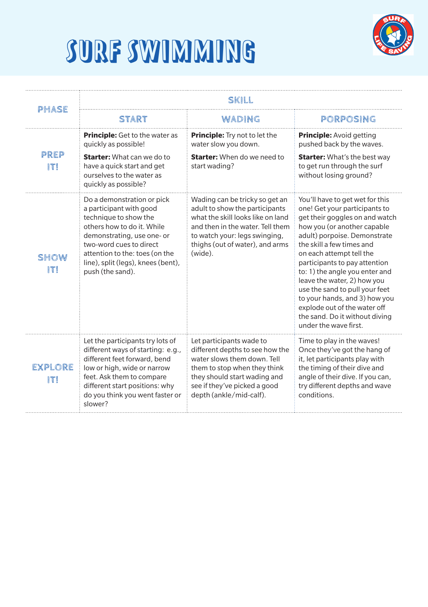



| PHASE                 | SKILL                                                                                                                                                                                                                                                             |                                                                                                                                                                                                                          |                                                                                                                                                                                                                                                                                                                                                                                                                                                                                            |  |
|-----------------------|-------------------------------------------------------------------------------------------------------------------------------------------------------------------------------------------------------------------------------------------------------------------|--------------------------------------------------------------------------------------------------------------------------------------------------------------------------------------------------------------------------|--------------------------------------------------------------------------------------------------------------------------------------------------------------------------------------------------------------------------------------------------------------------------------------------------------------------------------------------------------------------------------------------------------------------------------------------------------------------------------------------|--|
|                       | START                                                                                                                                                                                                                                                             | WADING                                                                                                                                                                                                                   | PORPOSING                                                                                                                                                                                                                                                                                                                                                                                                                                                                                  |  |
|                       | <b>Principle:</b> Get to the water as<br>quickly as possible!                                                                                                                                                                                                     | <b>Principle:</b> Try not to let the<br>water slow you down.                                                                                                                                                             | Principle: Avoid getting<br>pushed back by the waves.                                                                                                                                                                                                                                                                                                                                                                                                                                      |  |
| PREP<br>ITI           | <b>Starter:</b> What can we do to<br>have a quick start and get<br>ourselves to the water as<br>quickly as possible?                                                                                                                                              | <b>Starter:</b> When do we need to<br>start wading?                                                                                                                                                                      | <b>Starter:</b> What's the best way<br>to get run through the surf<br>without losing ground?                                                                                                                                                                                                                                                                                                                                                                                               |  |
| SHOW<br>ITI           | Do a demonstration or pick<br>a participant with good<br>technique to show the<br>others how to do it. While<br>demonstrating, use one- or<br>two-word cues to direct<br>attention to the: toes (on the<br>line), split (legs), knees (bent),<br>push (the sand). | Wading can be tricky so get an<br>adult to show the participants<br>what the skill looks like on land<br>and then in the water. Tell them<br>to watch your: legs swinging,<br>thighs (out of water), and arms<br>(wide). | You'll have to get wet for this<br>one! Get your participants to<br>get their goggles on and watch<br>how you (or another capable<br>adult) porpoise. Demonstrate<br>the skill a few times and<br>on each attempt tell the<br>participants to pay attention<br>to: 1) the angle you enter and<br>leave the water, 2) how you<br>use the sand to pull your feet<br>to your hands, and 3) how you<br>explode out of the water off<br>the sand. Do it without diving<br>under the wave first. |  |
| <b>EXPLORE</b><br>IT! | Let the participants try lots of<br>different ways of starting: e.g.,<br>different feet forward, bend<br>low or high, wide or narrow<br>feet. Ask them to compare<br>different start positions: why<br>do you think you went faster or<br>slower?                 | Let participants wade to<br>different depths to see how the<br>water slows them down. Tell<br>them to stop when they think<br>they should start wading and<br>see if they've picked a good<br>depth (ankle/mid-calf).    | Time to play in the waves!<br>Once they've got the hang of<br>it, let participants play with<br>the timing of their dive and<br>angle of their dive. If you can,<br>try different depths and wave<br>conditions.                                                                                                                                                                                                                                                                           |  |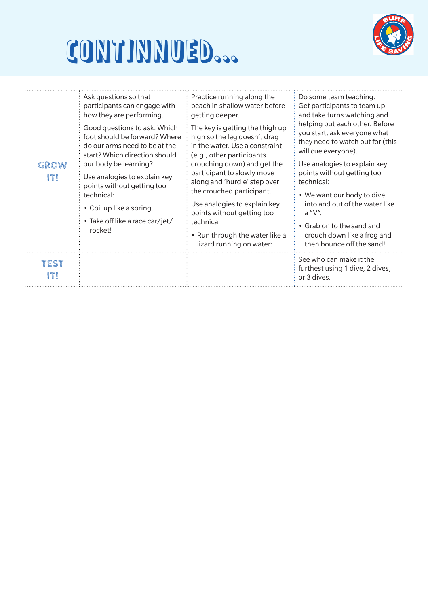



| GROW<br>ITI | Ask questions so that<br>participants can engage with<br>how they are performing.<br>Good questions to ask: Which<br>foot should be forward? Where<br>do our arms need to be at the<br>start? Which direction should<br>our body be learning?<br>Use analogies to explain key<br>points without getting too<br>technical:<br>• Coil up like a spring.<br>• Take off like a race car/jet/<br>rocket! | Practice running along the<br>beach in shallow water before<br>getting deeper.<br>The key is getting the thigh up<br>high so the leg doesn't drag<br>in the water. Use a constraint<br>(e.g., other participants<br>crouching down) and get the<br>participant to slowly move<br>along and 'hurdle' step over<br>the crouched participant.<br>Use analogies to explain key<br>points without getting too<br>technical:<br>• Run through the water like a<br>lizard running on water: | Do some team teaching.<br>Get participants to team up<br>and take turns watching and<br>helping out each other. Before<br>you start, ask everyone what<br>they need to watch out for (this<br>will cue everyone).<br>Use analogies to explain key<br>points without getting too<br>technical:<br>• We want our body to dive<br>into and out of the water like<br>$a''V''$ .<br>• Grab on to the sand and<br>crouch down like a frog and<br>then bounce off the sand! |
|-------------|-----------------------------------------------------------------------------------------------------------------------------------------------------------------------------------------------------------------------------------------------------------------------------------------------------------------------------------------------------------------------------------------------------|--------------------------------------------------------------------------------------------------------------------------------------------------------------------------------------------------------------------------------------------------------------------------------------------------------------------------------------------------------------------------------------------------------------------------------------------------------------------------------------|----------------------------------------------------------------------------------------------------------------------------------------------------------------------------------------------------------------------------------------------------------------------------------------------------------------------------------------------------------------------------------------------------------------------------------------------------------------------|
| TEST<br>ITI |                                                                                                                                                                                                                                                                                                                                                                                                     |                                                                                                                                                                                                                                                                                                                                                                                                                                                                                      | See who can make it the<br>furthest using 1 dive, 2 dives,<br>or 3 dives.                                                                                                                                                                                                                                                                                                                                                                                            |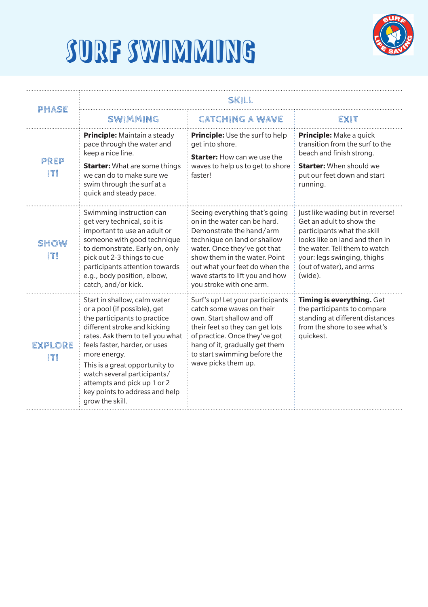

#### SURF SWIMMING

| PHASE          | SKILL                                                                                                                                                                                                                                                                                                                                                                  |                                                                                                                                                                                                                                                                                              |                                                                                                                                                                                                                                      |  |
|----------------|------------------------------------------------------------------------------------------------------------------------------------------------------------------------------------------------------------------------------------------------------------------------------------------------------------------------------------------------------------------------|----------------------------------------------------------------------------------------------------------------------------------------------------------------------------------------------------------------------------------------------------------------------------------------------|--------------------------------------------------------------------------------------------------------------------------------------------------------------------------------------------------------------------------------------|--|
|                | SWIMMING                                                                                                                                                                                                                                                                                                                                                               | <b>CATCHING A WAVE</b>                                                                                                                                                                                                                                                                       | EXIT                                                                                                                                                                                                                                 |  |
| PREP<br>IT!    | <b>Principle:</b> Maintain a steady<br>pace through the water and<br>keep a nice line.<br><b>Starter:</b> What are some things<br>we can do to make sure we<br>swim through the surf at a<br>quick and steady pace.                                                                                                                                                    | <b>Principle:</b> Use the surf to help<br>get into shore.<br><b>Starter:</b> How can we use the<br>waves to help us to get to shore<br>faster!                                                                                                                                               | <b>Principle:</b> Make a quick<br>transition from the surf to the<br>beach and finish strong.<br><b>Starter:</b> When should we<br>put our feet down and start<br>running.                                                           |  |
| SHOW<br>ITI    | Swimming instruction can<br>get very technical, so it is<br>important to use an adult or<br>someone with good technique<br>to demonstrate. Early on, only<br>pick out 2-3 things to cue<br>participants attention towards<br>e.g., body position, elbow,<br>catch, and/or kick.                                                                                        | Seeing everything that's going<br>on in the water can be hard.<br>Demonstrate the hand/arm<br>technique on land or shallow<br>water. Once they've got that<br>show them in the water. Point<br>out what your feet do when the<br>wave starts to lift you and how<br>you stroke with one arm. | Just like wading but in reverse!<br>Get an adult to show the<br>participants what the skill<br>looks like on land and then in<br>the water. Tell them to watch<br>your: legs swinging, thighs<br>(out of water), and arms<br>(wide). |  |
| EXPLORE<br>ITI | Start in shallow, calm water<br>or a pool (if possible), get<br>the participants to practice<br>different stroke and kicking<br>rates. Ask them to tell you what<br>feels faster, harder, or uses<br>more energy.<br>This is a great opportunity to<br>watch several participants/<br>attempts and pick up 1 or 2<br>key points to address and help<br>grow the skill. | Surf's up! Let your participants<br>catch some waves on their<br>own. Start shallow and off<br>their feet so they can get lots<br>of practice. Once they've got<br>hang of it, gradually get them<br>to start swimming before the<br>wave picks them up.                                     | Timing is everything. Get<br>the participants to compare<br>standing at different distances<br>from the shore to see what's<br>quickest.                                                                                             |  |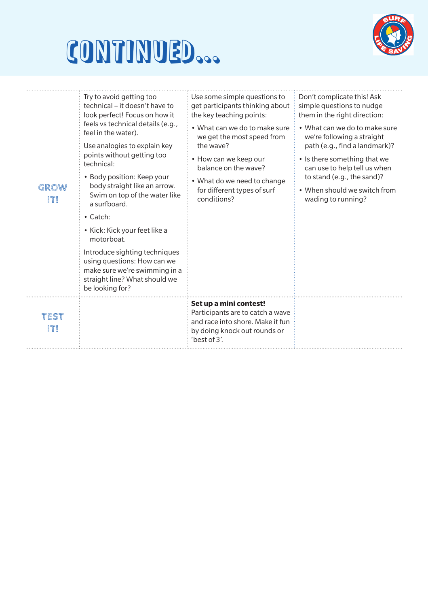## CONTINUED...



| GROW<br>ITI | Try to avoid getting too<br>technical – it doesn't have to<br>look perfect! Focus on how it<br>feels vs technical details (e.g.,<br>feel in the water).<br>Use analogies to explain key<br>points without getting too<br>technical:<br>• Body position: Keep your<br>body straight like an arrow.<br>Swim on top of the water like<br>a surfboard.<br>$\cdot$ Catch:<br>• Kick: Kick your feet like a<br>motorboat.<br>Introduce sighting techniques<br>using questions: How can we<br>make sure we're swimming in a<br>straight line? What should we<br>be looking for? | Use some simple questions to<br>get participants thinking about<br>the key teaching points:<br>• What can we do to make sure<br>we get the most speed from<br>the wave?<br>• How can we keep our<br>balance on the wave?<br>• What do we need to change<br>for different types of surf<br>conditions? | Don't complicate this! Ask<br>simple questions to nudge<br>them in the right direction:<br>• What can we do to make sure<br>we're following a straight<br>path (e.g., find a landmark)?<br>• Is there something that we<br>can use to help tell us when<br>to stand (e.g., the sand)?<br>• When should we switch from<br>wading to running? |
|-------------|--------------------------------------------------------------------------------------------------------------------------------------------------------------------------------------------------------------------------------------------------------------------------------------------------------------------------------------------------------------------------------------------------------------------------------------------------------------------------------------------------------------------------------------------------------------------------|-------------------------------------------------------------------------------------------------------------------------------------------------------------------------------------------------------------------------------------------------------------------------------------------------------|---------------------------------------------------------------------------------------------------------------------------------------------------------------------------------------------------------------------------------------------------------------------------------------------------------------------------------------------|
| TEST<br>ITI |                                                                                                                                                                                                                                                                                                                                                                                                                                                                                                                                                                          | Set up a mini contest!<br>Participants are to catch a wave<br>and race into shore. Make it fun<br>by doing knock out rounds or<br>'best of $3'$ .                                                                                                                                                     |                                                                                                                                                                                                                                                                                                                                             |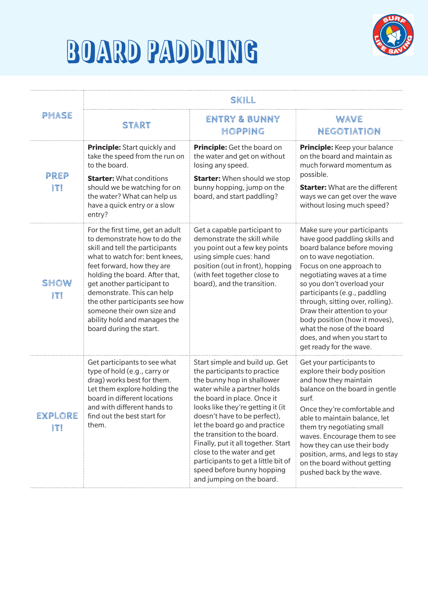



|                | SKILL                                                                                                                                                                                                                                                                                                                                                                                        |                                                                                                                                                                                                                                                                                                                                                                                                                                                                         |                                                                                                                                                                                                                                                                                                                                                                                                                                              |  |
|----------------|----------------------------------------------------------------------------------------------------------------------------------------------------------------------------------------------------------------------------------------------------------------------------------------------------------------------------------------------------------------------------------------------|-------------------------------------------------------------------------------------------------------------------------------------------------------------------------------------------------------------------------------------------------------------------------------------------------------------------------------------------------------------------------------------------------------------------------------------------------------------------------|----------------------------------------------------------------------------------------------------------------------------------------------------------------------------------------------------------------------------------------------------------------------------------------------------------------------------------------------------------------------------------------------------------------------------------------------|--|
| PHASE          | <b>START</b>                                                                                                                                                                                                                                                                                                                                                                                 | ENTRY & BUNNY<br>HOPPING                                                                                                                                                                                                                                                                                                                                                                                                                                                | <b>WAVE</b><br>NEGOTIATION                                                                                                                                                                                                                                                                                                                                                                                                                   |  |
| PREP<br>IT!    | <b>Principle:</b> Start quickly and<br>take the speed from the run on<br>to the board.<br><b>Starter: What conditions</b><br>should we be watching for on<br>the water? What can help us<br>have a quick entry or a slow<br>entry?                                                                                                                                                           | Principle: Get the board on<br>the water and get on without<br>losing any speed.<br><b>Starter:</b> When should we stop<br>bunny hopping, jump on the<br>board, and start paddling?                                                                                                                                                                                                                                                                                     | <b>Principle:</b> Keep your balance<br>on the board and maintain as<br>much forward momentum as<br>possible.<br><b>Starter:</b> What are the different<br>ways we can get over the wave<br>without losing much speed?                                                                                                                                                                                                                        |  |
| SHOW<br>ITI    | For the first time, get an adult<br>to demonstrate how to do the<br>skill and tell the participants<br>what to watch for: bent knees,<br>feet forward, how they are<br>holding the board. After that,<br>get another participant to<br>demonstrate. This can help<br>the other participants see how<br>someone their own size and<br>ability hold and manages the<br>board during the start. | Get a capable participant to<br>demonstrate the skill while<br>you point out a few key points<br>using simple cues: hand<br>position (out in front), hopping<br>(with feet together close to<br>board), and the transition.                                                                                                                                                                                                                                             | Make sure your participants<br>have good paddling skills and<br>board balance before moving<br>on to wave negotiation.<br>Focus on one approach to<br>negotiating waves at a time<br>so you don't overload your<br>participants (e.g., paddling<br>through, sitting over, rolling).<br>Draw their attention to your<br>body position (how it moves),<br>what the nose of the board<br>does, and when you start to<br>get ready for the wave. |  |
| EXPLORE<br>ITI | Get participants to see what<br>type of hold (e.g., carry or<br>drag) works best for them.<br>Let them explore holding the<br>board in different locations<br>and with different hands to<br>find out the best start for<br>them.                                                                                                                                                            | Start simple and build up. Get<br>the participants to practice<br>the bunny hop in shallower<br>water while a partner holds<br>the board in place. Once it<br>looks like they're getting it (it<br>doesn't have to be perfect),<br>let the board go and practice<br>the transition to the board.<br>Finally, put it all together. Start<br>close to the water and get<br>participants to get a little bit of<br>speed before bunny hopping<br>and jumping on the board. | Get your participants to<br>explore their body position<br>and how they maintain<br>balance on the board in gentle<br>surf.<br>Once they're comfortable and<br>able to maintain balance, let<br>them try negotiating small<br>waves. Encourage them to see<br>how they can use their body<br>position, arms, and legs to stay<br>on the board without getting<br>pushed back by the wave.                                                    |  |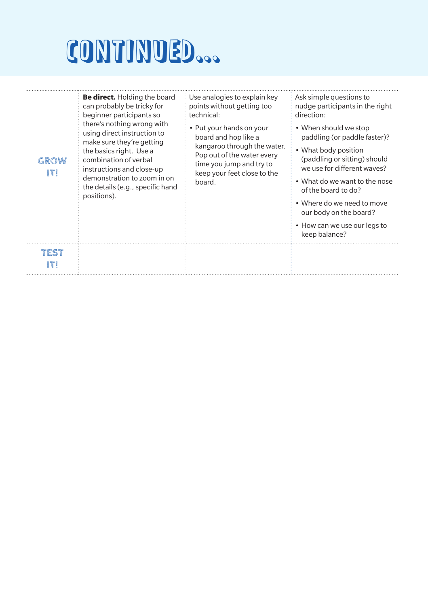# CONTINUED...

| GROW<br>ITI | <b>Be direct.</b> Holding the board<br>can probably be tricky for<br>beginner participants so<br>there's nothing wrong with<br>using direct instruction to<br>make sure they're getting<br>the basics right. Use a<br>combination of verbal<br>instructions and close-up<br>demonstration to zoom in on<br>the details (e.g., specific hand<br>positions). | Use analogies to explain key<br>points without getting too<br>technical:<br>• Put your hands on your<br>board and hop like a<br>kangaroo through the water.<br>Pop out of the water every<br>time you jump and try to<br>keep your feet close to the<br>board. | Ask simple questions to<br>nudge participants in the right<br>direction:<br>• When should we stop<br>paddling (or paddle faster)?<br>• What body position<br>(paddling or sitting) should<br>we use for different waves?<br>• What do we want to the nose<br>of the board to do?<br>• Where do we need to move<br>our body on the board?<br>• How can we use our legs to<br>keep balance? |
|-------------|------------------------------------------------------------------------------------------------------------------------------------------------------------------------------------------------------------------------------------------------------------------------------------------------------------------------------------------------------------|----------------------------------------------------------------------------------------------------------------------------------------------------------------------------------------------------------------------------------------------------------------|-------------------------------------------------------------------------------------------------------------------------------------------------------------------------------------------------------------------------------------------------------------------------------------------------------------------------------------------------------------------------------------------|
| TFST        |                                                                                                                                                                                                                                                                                                                                                            |                                                                                                                                                                                                                                                                |                                                                                                                                                                                                                                                                                                                                                                                           |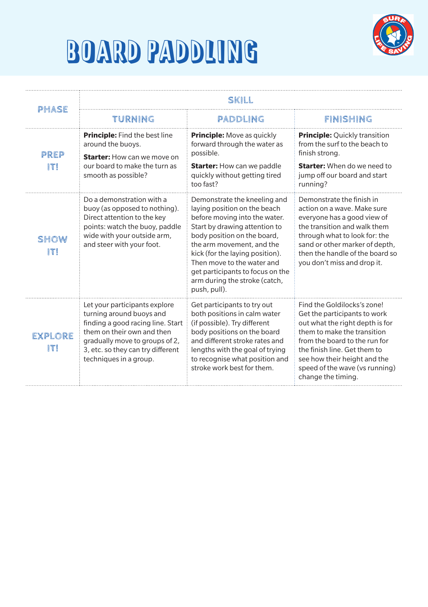



| PHASE                 | SKILL                                                                                                                                                                                                                         |                                                                                                                                                                                                                                                                                                                                                  |                                                                                                                                                                                                                                                                                        |  |
|-----------------------|-------------------------------------------------------------------------------------------------------------------------------------------------------------------------------------------------------------------------------|--------------------------------------------------------------------------------------------------------------------------------------------------------------------------------------------------------------------------------------------------------------------------------------------------------------------------------------------------|----------------------------------------------------------------------------------------------------------------------------------------------------------------------------------------------------------------------------------------------------------------------------------------|--|
|                       | TURNING                                                                                                                                                                                                                       | PADDLING                                                                                                                                                                                                                                                                                                                                         | FINISHING                                                                                                                                                                                                                                                                              |  |
| PREP                  | <b>Principle:</b> Find the best line<br>around the buoys.<br><b>Starter:</b> How can we move on                                                                                                                               | <b>Principle:</b> Move as quickly<br>forward through the water as<br>possible.                                                                                                                                                                                                                                                                   | <b>Principle:</b> Quickly transition<br>from the surf to the beach to<br>finish strong.                                                                                                                                                                                                |  |
| ITI                   | our board to make the turn as<br>smooth as possible?                                                                                                                                                                          | <b>Starter:</b> How can we paddle<br>quickly without getting tired<br>too fast?                                                                                                                                                                                                                                                                  | <b>Starter:</b> When do we need to<br>jump off our board and start<br>running?                                                                                                                                                                                                         |  |
| SHOW<br>ITI           | Do a demonstration with a<br>buoy (as opposed to nothing).<br>Direct attention to the key<br>points: watch the buoy, paddle<br>wide with your outside arm,<br>and steer with your foot.                                       | Demonstrate the kneeling and<br>laying position on the beach<br>before moving into the water.<br>Start by drawing attention to<br>body position on the board,<br>the arm movement, and the<br>kick (for the laying position).<br>Then move to the water and<br>get participants to focus on the<br>arm during the stroke (catch,<br>push, pull). | Demonstrate the finish in<br>action on a wave. Make sure<br>everyone has a good view of<br>the transition and walk them<br>through what to look for: the<br>sand or other marker of depth,<br>then the handle of the board so<br>you don't miss and drop it.                           |  |
| <b>EXPLORE</b><br>ITI | Let your participants explore<br>turning around buoys and<br>finding a good racing line. Start<br>them on their own and then<br>gradually move to groups of 2,<br>3, etc. so they can try different<br>techniques in a group. | Get participants to try out<br>both positions in calm water<br>(if possible). Try different<br>body positions on the board<br>and different stroke rates and<br>lengths with the goal of trying<br>to recognise what position and<br>stroke work best for them.                                                                                  | Find the Goldilocks's zone!<br>Get the participants to work<br>out what the right depth is for<br>them to make the transition<br>from the board to the run for<br>the finish line. Get them to<br>see how their height and the<br>speed of the wave (vs running)<br>change the timing. |  |